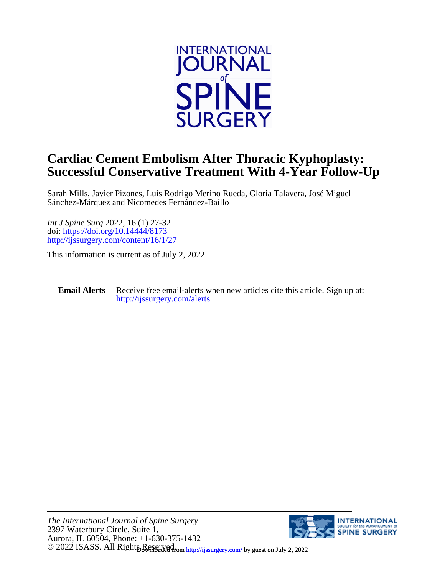

## **Successful Conservative Treatment With 4-Year Follow-Up Cardiac Cement Embolism After Thoracic Kyphoplasty:**

Sánchez-Márquez and Nicomedes Fernández-Baíllo Sarah Mills, Javier Pizones, Luis Rodrigo Merino Rueda, Gloria Talavera, José Miguel

<http://ijssurgery.com/content/16/1/27> doi:<https://doi.org/10.14444/8173> *Int J Spine Surg* 2022, 16 (1) 27-32

This information is current as of July 2, 2022.

**Email Alerts** [http://ijssurgery.com/alerts](http://jpm.iijournals.com/alerts) Receive free email-alerts when new articles cite this article. Sign up at:

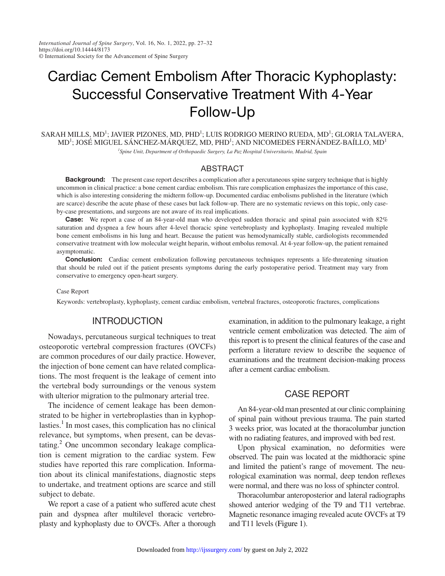*International Journal of Spine Surgery*, Vol. 16, No. 1, 2022, pp. 27–32 https://doi.org/10.14444/8173 © International Society for the Advancement of Spine Surgery

# Cardiac Cement Embolism After Thoracic Kyphoplasty: Successful Conservative Treatment With 4-Year Follow-Up

 $SARAH$  MILLS, MD<sup>1</sup>; JAVIER PIZONES, MD, PHD<sup>1</sup>; LUIS RODRIGO MERINO RUEDA, MD<sup>1</sup>; GLORIA TALAVERA, MD<sup>1</sup>; JOSÉ MIGUEL SÁNCHEZ-MÁRQUEZ, MD, PHD<sup>1</sup>; AND NICOMEDES FERNÁNDEZ-BAÍLLO, MD<sup>1</sup> *1 Spine Unit, Department of Orthopaedic Surgery, La Paz Hospital Universitario, Madrid, Spain*

#### ABSTRACT

Background: The present case report describes a complication after a percutaneous spine surgery technique that is highly uncommon in clinical practice: a bone cement cardiac embolism. This rare complication emphasizes the importance of this case, which is also interesting considering the midterm follow-up. Documented cardiac embolisms published in the literature (which are scarce) describe the acute phase of these cases but lack follow-up. There are no systematic reviews on this topic, only caseby-case presentations, and surgeons are not aware of its real implications.

Case: We report a case of an 84-year-old man who developed sudden thoracic and spinal pain associated with 82% saturation and dyspnea a few hours after 4-level thoracic spine vertebroplasty and kyphoplasty. Imaging revealed multiple bone cement embolisms in his lung and heart. Because the patient was hemodynamically stable, cardiologists recommended conservative treatment with low molecular weight heparin, without embolus removal. At 4-year follow-up, the patient remained asymptomatic.

**Conclusion:** Cardiac cement embolization following percutaneous techniques represents a life-threatening situation that should be ruled out if the patient presents symptoms during the early postoperative period. Treatment may vary from conservative to emergency open-heart surgery.

#### Case Report

Keywords: vertebroplasty, kyphoplasty, cement cardiac embolism, vertebral fractures, osteoporotic fractures, complications

## **INTRODUCTION**

Nowadays, percutaneous surgical techniques to treat osteoporotic vertebral compression fractures (OVCFs) are common procedures of our daily practice. However, the injection of bone cement can have related complications. The most frequent is the leakage of cement into the vertebral body surroundings or the venous system with ulterior migration to the pulmonary arterial tree.

The incidence of cement leakage has been demonstrated to be higher in vertebroplasties than in kyphop-lasties.<sup>[1](#page-5-0)</sup> In most cases, this complication has no clinical relevance, but symptoms, when present, can be devas-tating.<sup>[2](#page-5-1)</sup> One uncommon secondary leakage complication is cement migration to the cardiac system. Few studies have reported this rare complication. Information about its clinical manifestations, diagnostic steps to undertake, and treatment options are scarce and still subject to debate.

We report a case of a patient who suffered acute chest pain and dyspnea after multilevel thoracic vertebroplasty and kyphoplasty due to OVCFs. After a thorough examination, in addition to the pulmonary leakage, a right ventricle cement embolization was detected. The aim of this report is to present the clinical features of the case and perform a literature review to describe the sequence of examinations and the treatment decision-making process after a cement cardiac embolism.

#### CASE REPORT

An 84-year-old man presented at our clinic complaining of spinal pain without previous trauma. The pain started 3 weeks prior, was located at the thoracolumbar junction with no radiating features, and improved with bed rest.

Upon physical examination, no deformities were observed. The pain was located at the midthoracic spine and limited the patient's range of movement. The neurological examination was normal, deep tendon reflexes were normal, and there was no loss of sphincter control.

Thoracolumbar anteroposterior and lateral radiographs showed anterior wedging of the T9 and T11 vertebrae. Magnetic resonance imaging revealed acute OVCFs at T9 and T11 levels [\(Figure](#page-2-0) 1).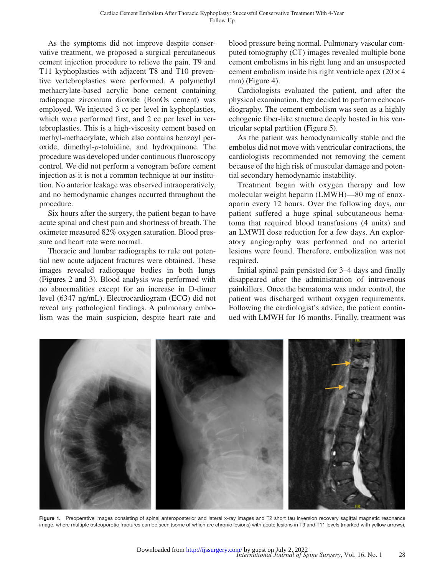As the symptoms did not improve despite conservative treatment, we proposed a surgical percutaneous cement injection procedure to relieve the pain. T9 and T11 kyphoplasties with adjacent T8 and T10 preventive vertebroplasties were performed. A polymethyl methacrylate-based acrylic bone cement containing radiopaque zirconium dioxide (BonOs cement) was employed. We injected 3 cc per level in kyphoplasties, which were performed first, and 2 cc per level in vertebroplasties. This is a high-viscosity cement based on methyl-methacrylate, which also contains benzoyl peroxide, dimethyl-*p*-toluidine, and hydroquinone. The procedure was developed under continuous fluoroscopy control. We did not perform a venogram before cement injection as it is not a common technique at our institution. No anterior leakage was observed intraoperatively, and no hemodynamic changes occurred throughout the procedure.

Six hours after the surgery, the patient began to have acute spinal and chest pain and shortness of breath. The oximeter measured 82% oxygen saturation. Blood pressure and heart rate were normal.

Thoracic and lumbar radiographs to rule out potential new acute adjacent fractures were obtained. These images revealed radiopaque bodies in both lungs (Figures [2 and 3](#page-3-0)). Blood analysis was performed with no abnormalities except for an increase in D-dimer level (6347 ng/mL). Electrocardiogram (ECG) did not reveal any pathological findings. A pulmonary embolism was the main suspicion, despite heart rate and blood pressure being normal. Pulmonary vascular computed tomography (CT) images revealed multiple bone cement embolisms in his right lung and an unsuspected cement embolism inside his right ventricle apex  $(20 \times 4)$ mm) [\(Figure](#page-4-0) 4).

Cardiologists evaluated the patient, and after the physical examination, they decided to perform echocardiography. The cement embolism was seen as a highly echogenic fiber-like structure deeply hosted in his ventricular septal partition ([Figure](#page-5-2) 5).

As the patient was hemodynamically stable and the embolus did not move with ventricular contractions, the cardiologists recommended not removing the cement because of the high risk of muscular damage and potential secondary hemodynamic instability.

Treatment began with oxygen therapy and low molecular weight heparin (LMWH)—80 mg of enoxaparin every 12 hours. Over the following days, our patient suffered a huge spinal subcutaneous hematoma that required blood transfusions (4 units) and an LMWH dose reduction for a few days. An exploratory angiography was performed and no arterial lesions were found. Therefore, embolization was not required.

Initial spinal pain persisted for 3–4 days and finally disappeared after the administration of intravenous painkillers. Once the hematoma was under control, the patient was discharged without oxygen requirements. Following the cardiologist's advice, the patient continued with LMWH for 16 months. Finally, treatment was

<span id="page-2-0"></span>

Figure 1. Preoperative images consisting of spinal anteroposterior and lateral x-ray images and T2 short tau inversion recovery sagittal magnetic resonance image, where multiple osteoporotic fractures can be seen (some of which are chronic lesions) with acute lesions in T9 and T11 levels (marked with yellow arrows).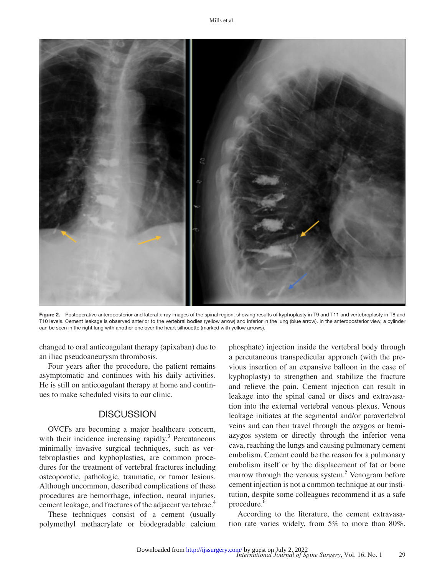

Figure 2. Postoperative anteroposterior and lateral x-ray images of the spinal region, showing results of kyphoplasty in T9 and T11 and vertebroplasty in T8 and T10 levels. Cement leakage is observed anterior to the vertebral bodies (yellow arrow) and inferior in the lung (blue arrow). In the anteroposterior view, a cylinder can be seen in the right lung with another one over the heart silhouette (marked with yellow arrows).

<span id="page-3-0"></span>changed to oral anticoagulant therapy (apixaban) due to an iliac pseudoaneurysm thrombosis.

Four years after the procedure, the patient remains asymptomatic and continues with his daily activities. He is still on anticoagulant therapy at home and continues to make scheduled visits to our clinic.

## **DISCUSSION**

OVCFs are becoming a major healthcare concern, with their incidence increasing rapidly.<sup>[3](#page-5-3)</sup> Percutaneous minimally invasive surgical techniques, such as vertebroplasties and kyphoplasties, are common procedures for the treatment of vertebral fractures including osteoporotic, pathologic, traumatic, or tumor lesions. Although uncommon, described complications of these procedures are hemorrhage, infection, neural injuries, cement leakage, and fractures of the adjacent vertebrae.<sup>[4](#page-5-4)</sup>

These techniques consist of a cement (usually polymethyl methacrylate or biodegradable calcium phosphate) injection inside the vertebral body through a percutaneous transpedicular approach (with the previous insertion of an expansive balloon in the case of kyphoplasty) to strengthen and stabilize the fracture and relieve the pain. Cement injection can result in leakage into the spinal canal or discs and extravasation into the external vertebral venous plexus. Venous leakage initiates at the segmental and/or paravertebral veins and can then travel through the azygos or hemiazygos system or directly through the inferior vena cava, reaching the lungs and causing pulmonary cement embolism. Cement could be the reason for a pulmonary embolism itself or by the displacement of fat or bone marrow through the venous system.<sup>[5](#page-5-5)</sup> Venogram before cement injection is not a common technique at our institution, despite some colleagues recommend it as a safe procedure.<sup>[6](#page-5-6)</sup>

According to the literature, the cement extravasation rate varies widely, from 5% to more than 80%.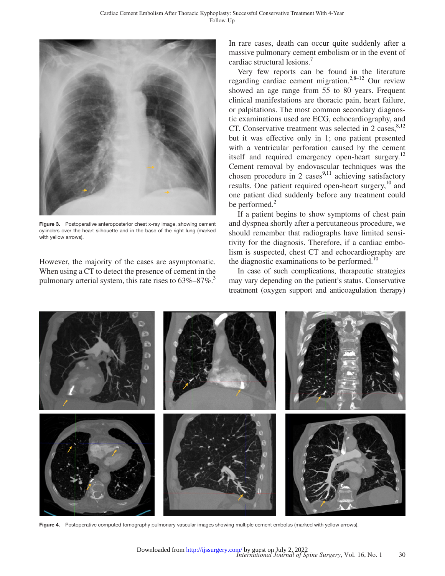

Figure 3. Postoperative anteroposterior chest x-ray image, showing cement cylinders over the heart silhouette and in the base of the right lung (marked with yellow arrows).

However, the majority of the cases are asymptomatic. When using a CT to detect the presence of cement in the pulmonary arterial system, this rate rises to  $63\% - 87\%$ .<sup>3</sup>

In rare cases, death can occur quite suddenly after a massive pulmonary cement embolism or in the event of cardiac structural lesions.[7](#page-6-0)

Very few reports can be found in the literature regarding cardiac cement migration.<sup>[2,8–12](#page-5-1)</sup> Our review showed an age range from 55 to 80 years. Frequent clinical manifestations are thoracic pain, heart failure, or palpitations. The most common secondary diagnostic examinations used are ECG, echocardiography, and CT. Conservative treatment was selected in 2 cases. $8,12$ but it was effective only in 1; one patient presented with a ventricular perforation caused by the cement itself and required emergency open-heart surgery.<sup>[12](#page-6-2)</sup> Cement removal by endovascular techniques was the chosen procedure in 2 cases<sup>[9,11](#page-6-3)</sup> achieving satisfactory results. One patient required open-heart surgery,<sup>10</sup> and one patient died suddenly before any treatment could be performed.<sup>[2](#page-5-1)</sup>

If a patient begins to show symptoms of chest pain and dyspnea shortly after a percutaneous procedure, we should remember that radiographs have limited sensitivity for the diagnosis. Therefore, if a cardiac embolism is suspected, chest CT and echocardiography are the diagnostic examinations to be performed. $10$ 

In case of such complications, therapeutic strategies may vary depending on the patient's status. Conservative treatment (oxygen support and anticoagulation therapy)

<span id="page-4-0"></span>

Figure 4. Postoperative computed tomography pulmonary vascular images showing multiple cement embolus (marked with yellow arrows).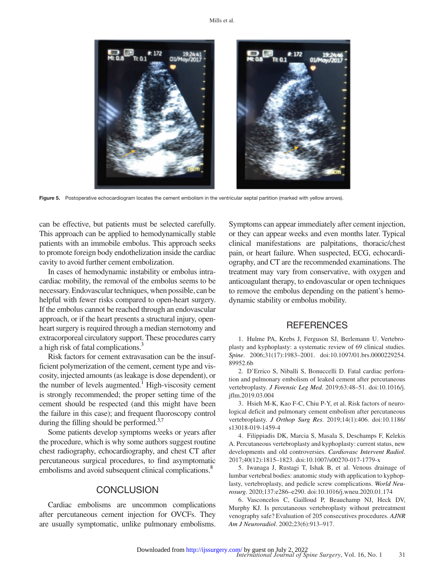

Figure 5. Postoperative echocardiogram locates the cement embolism in the ventricular septal partition (marked with yellow arrows).

can be effective, but patients must be selected carefully. This approach can be applied to hemodynamically stable patients with an immobile embolus. This approach seeks to promote foreign body endothelization inside the cardiac cavity to avoid further cement embolization.

In cases of hemodynamic instability or embolus intracardiac mobility, the removal of the embolus seems to be necessary. Endovascular techniques, when possible, can be helpful with fewer risks compared to open-heart surgery. If the embolus cannot be reached through an endovascular approach, or if the heart presents a structural injury, openheart surgery is required through a median sternotomy and extracorporeal circulatory support. These procedures carry a high risk of fatal complications.<sup>3</sup>

Risk factors for cement extravasation can be the insufficient polymerization of the cement, cement type and viscosity, injected amounts (as leakage is dose dependent), or the number of levels augmented.<sup>1</sup> High-viscosity cement is strongly recommended; the proper setting time of the cement should be respected (and this might have been the failure in this case); and frequent fluoroscopy control during the filling should be performed. $37$ 

Some patients develop symptoms weeks or years after the procedure, which is why some authors suggest routine chest radiography, echocardiography, and chest CT after percutaneous surgical procedures, to find asymptomatic embolisms and avoid subsequent clinical complications.<sup>8</sup>

#### **CONCLUSION**

Cardiac embolisms are uncommon complications after percutaneous cement injection for OVCFs. They are usually symptomatic, unlike pulmonary embolisms. <span id="page-5-2"></span>Symptoms can appear immediately after cement injection, or they can appear weeks and even months later. Typical clinical manifestations are palpitations, thoracic/chest pain, or heart failure. When suspected, ECG, echocardiography, and CT are the recommended examinations. The treatment may vary from conservative, with oxygen and anticoagulant therapy, to endovascular or open techniques to remove the embolus depending on the patient's hemodynamic stability or embolus mobility.

#### **REFERENCES**

<span id="page-5-0"></span>1. Hulme PA, Krebs J, Ferguson SJ, Berlemann U. Vertebroplasty and kyphoplasty: a systematic review of 69 clinical studies. *Spine*. 2006;31(17):1983–2001. doi:10.1097/01.brs.0000229254. 89952.6b

<span id="page-5-1"></span>2. D'Errico S, Niballi S, Bonuccelli D. Fatal cardiac perforation and pulmonary embolism of leaked cement after percutaneous vertebroplasty. *J Forensic Leg Med*. 2019;63:48–51. doi:10.1016/j. jflm.2019.03.004

<span id="page-5-3"></span>3. Hsieh M-K, Kao F-C, Chiu P-Y, et al. Risk factors of neurological deficit and pulmonary cement embolism after percutaneous vertebroplasty. *J Orthop Surg Res*. 2019;14(1):406. doi:10.1186/ s13018-019-1459-4

<span id="page-5-4"></span>4. Filippiadis DK, Marcia S, Masala S, Deschamps F, Kelekis A. Percutaneous vertebroplasty and kyphoplasty: current status, new developments and old controversies. *Cardiovasc Intervent Radiol*. 2017;40(12):1815–1823. doi:10.1007/s00270-017-1779-x

<span id="page-5-5"></span>5. Iwanaga J, Rustagi T, Ishak B, et al. Venous drainage of lumbar vertebral bodies: anatomic study with application to kyphoplasty, vertebroplasty, and pedicle screw complications. *World Neurosurg*. 2020;137:e286–e290. doi:10.1016/j.wneu.2020.01.174

<span id="page-5-6"></span>6. Vasconcelos C, Gailloud P, Beauchamp NJ, Heck DV, Murphy KJ. Is percutaneous vertebroplasty without pretreatment venography safe? Evaluation of 205 consecutives procedures. *AJNR Am J Neuroradiol*. 2002;23(6):913–917.